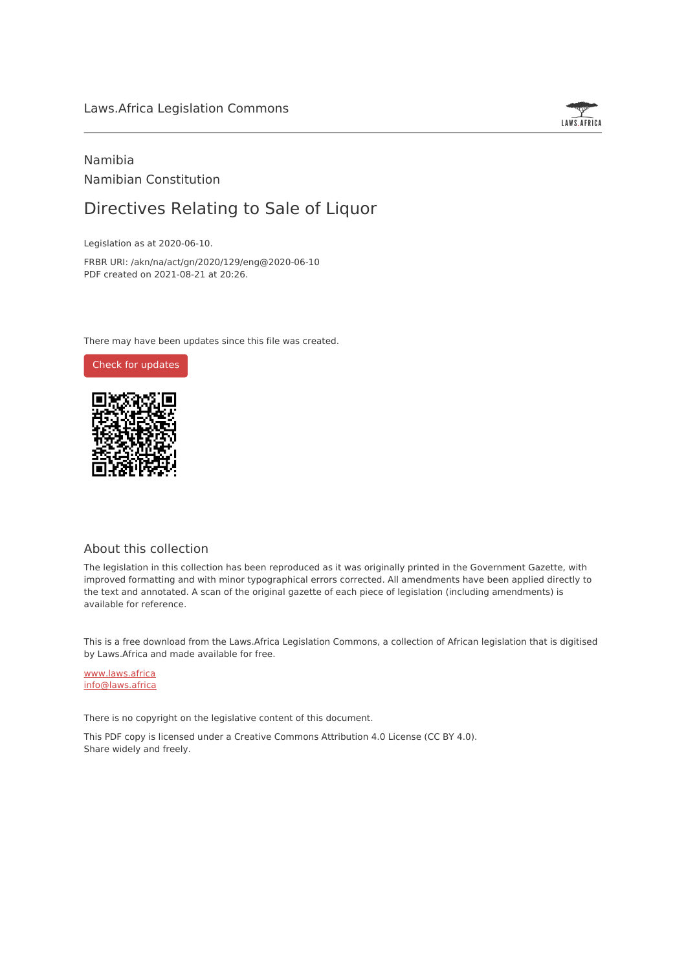## Laws.Africa Legislation Commons



# Namibia Namibian Constitution

# Directives Relating to Sale of Liquor

Legislation as at 2020-06-10.

FRBR URI: /akn/na/act/gn/2020/129/eng@2020-06-10 PDF created on 2021-08-21 at 20:26.

There may have been updates since this file was created.

Check for [updates](https://commons.laws.africa/akn/na/act/gn/2020/129/eng@2020-06-10?ts=2021-08-21T20:26:40.652648+00:00)



## About this collection

The legislation in this collection has been reproduced as it was originally printed in the Government Gazette, with improved formatting and with minor typographical errors corrected. All amendments have been applied directly to the text and annotated. A scan of the original gazette of each piece of legislation (including amendments) is available for reference.

This is a free download from the Laws.Africa Legislation Commons, a collection of African legislation that is digitised by Laws.Africa and made available for free.

[www.laws.africa](https://www.laws.africa) [info@laws.africa](mailto:info@laws.africa)

There is no copyright on the legislative content of this document.

This PDF copy is licensed under a Creative Commons Attribution 4.0 License (CC BY 4.0). Share widely and freely.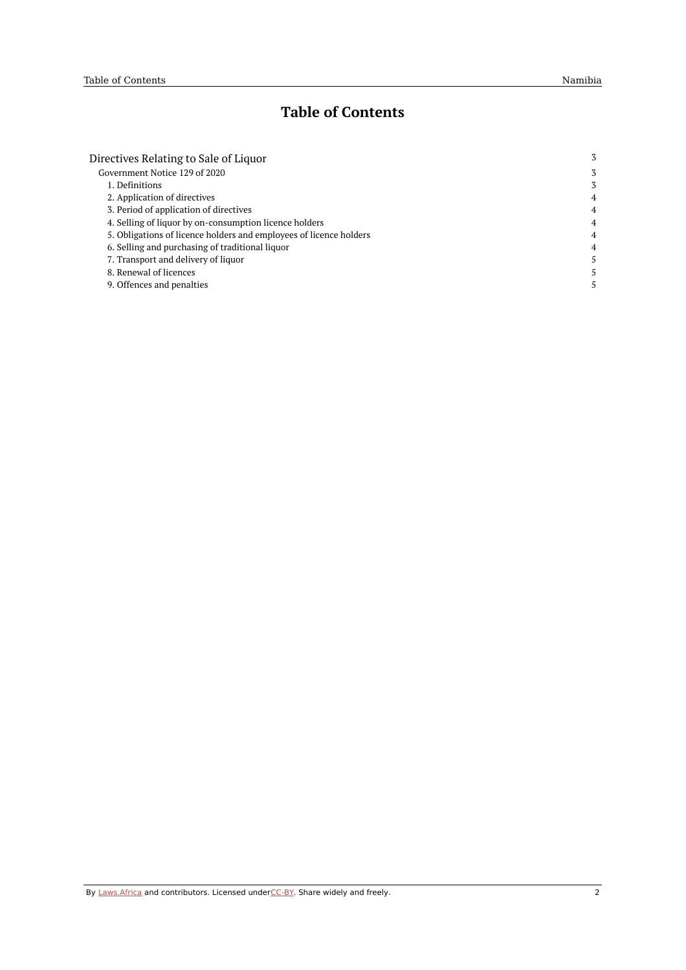# **Table of Contents**

| Directives Relating to Sale of Liquor                              | 3              |
|--------------------------------------------------------------------|----------------|
| Government Notice 129 of 2020                                      | 3              |
| 1. Definitions                                                     | 3              |
| 2. Application of directives                                       | $\overline{4}$ |
| 3. Period of application of directives                             | 4              |
| 4. Selling of liquor by on-consumption licence holders             | $\overline{4}$ |
| 5. Obligations of licence holders and employees of licence holders | $\overline{4}$ |
| 6. Selling and purchasing of traditional liquor                    | 4              |
| 7. Transport and delivery of liquor                                | 5.             |
| 8. Renewal of licences                                             | 5              |
| 9. Offences and penalties                                          | 5.             |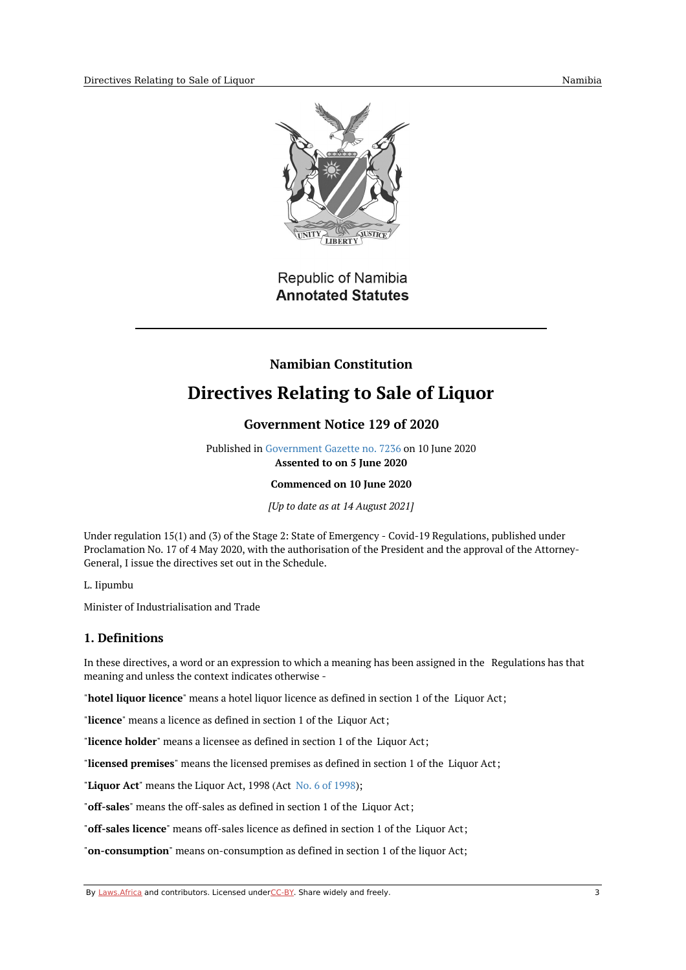

# Republic of Namibia **Annotated Statutes**

# **Namibian Constitution**

# <span id="page-2-1"></span><span id="page-2-0"></span>**Directives Relating to Sale of Liquor**

# **Government Notice 129 of 2020**

Published in [Government](https://commons.laws.africa/akn/na/act/gn/2020/129/media/publication/na-act-gn-2020-129-publication-document.pdf) Gazette no. 7236 on 10 June 2020 **Assented to on 5 June 2020**

**Commenced on 10 June 2020**

*[Up to date as at 14 August 2021]*

Under regulation 15(1) and (3) of the Stage 2: State of Emergency - Covid-19 Regulations, published under Proclamation No. 17 of 4 May 2020, with the authorisation of the President and the approval of the Attorney-General, I issue the directives set out in the Schedule.

L. Iipumbu

Minister of Industrialisation and Trade

## <span id="page-2-2"></span>**1. Definitions**

In these directives, a word or an expression to which a meaning has been assigned in the Regulations has that meaning and unless the context indicates otherwise -

"**hotel liquor licence**" means a hotel liquor licence as defined in section 1 of the Liquor Act;

"**licence**" means a licence as defined in section 1 of the Liquor Act;

"**licence holder**" means a licensee as defined in section 1 of the Liquor Act;

"**licensed premises**" means the licensed premises as defined in section 1 of the Liquor Act;

"**Liquor Act**" means the Liquor Act, 1998 (Act No. 6 of [1998](https://africanlii.org/akn/na/act/1998/6));

"**off-sales**" means the off-sales as defined in section 1 of the Liquor Act;

"**off-sales licence**" means off-sales licence as defined in section 1 of the Liquor Act;

"**on-consumption**" means on-consumption as defined in section 1 of the liquor Act;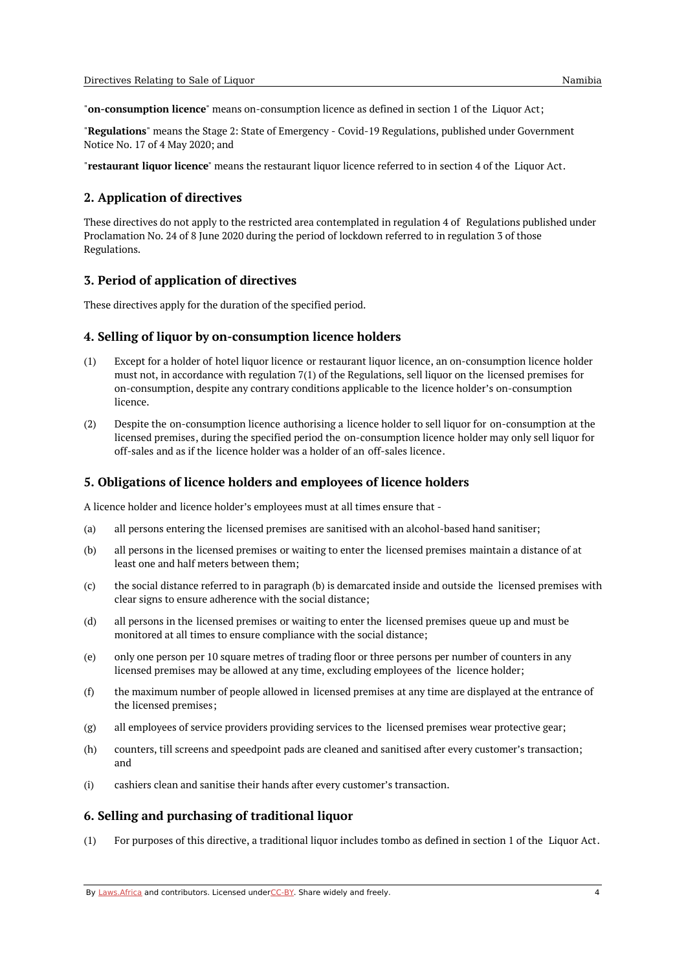"**on-consumption licence**" means on-consumption licence as defined in section 1 of the Liquor Act;

"**Regulations**" means the Stage 2: State of Emergency - Covid-19 Regulations, published under Government Notice No. 17 of 4 May 2020; and

"**restaurant liquor licence**" means the restaurant liquor licence referred to in section 4 of the Liquor Act.

### <span id="page-3-0"></span>**2. Application of directives**

These directives do not apply to the restricted area contemplated in regulation 4 of Regulations published under Proclamation No. 24 of 8 June 2020 during the period of lockdown referred to in regulation 3 of those Regulations.

#### <span id="page-3-1"></span>**3. Period of application of directives**

These directives apply for the duration of the specified period.

#### <span id="page-3-2"></span>**4. Selling of liquor by on-consumption licence holders**

- (1) Except for a holder of hotel liquor licence or restaurant liquor licence, an on-consumption licence holder must not, in accordance with regulation 7(1) of the Regulations, sell liquor on the licensed premises for on-consumption, despite any contrary conditions applicable to the licence holder's on-consumption licence.
- (2) Despite the on-consumption licence authorising a licence holder to sell liquor for on-consumption at the licensed premises, during the specified period the on-consumption licence holder may only sell liquor for off-sales and as if the licence holder was a holder of an off-sales licence.

#### <span id="page-3-3"></span>**5. Obligations of licence holders and employees of licence holders**

A licence holder and licence holder's employees must at all times ensure that -

- (a) all persons entering the licensed premises are sanitised with an alcohol-based hand sanitiser;
- (b) all persons in the licensed premises or waiting to enter the licensed premises maintain a distance of at least one and half meters between them;
- (c) the social distance referred to in paragraph (b) is demarcated inside and outside the licensed premises with clear signs to ensure adherence with the social distance;
- (d) all persons in the licensed premises or waiting to enter the licensed premises queue up and must be monitored at all times to ensure compliance with the social distance;
- (e) only one person per 10 square metres of trading floor or three persons per number of counters in any licensed premises may be allowed at any time, excluding employees of the licence holder;
- (f) the maximum number of people allowed in licensed premises at any time are displayed at the entrance of the licensed premises;
- (g) all employees of service providers providing services to the licensed premises wear protective gear;
- (h) counters, till screens and speedpoint pads are cleaned and sanitised after every customer's transaction; and
- (i) cashiers clean and sanitise their hands after every customer's transaction.

### <span id="page-3-4"></span>**6. Selling and purchasing of traditional liquor**

(1) For purposes of this directive, a traditional liquor includes tombo as defined in section 1 of the Liquor Act.